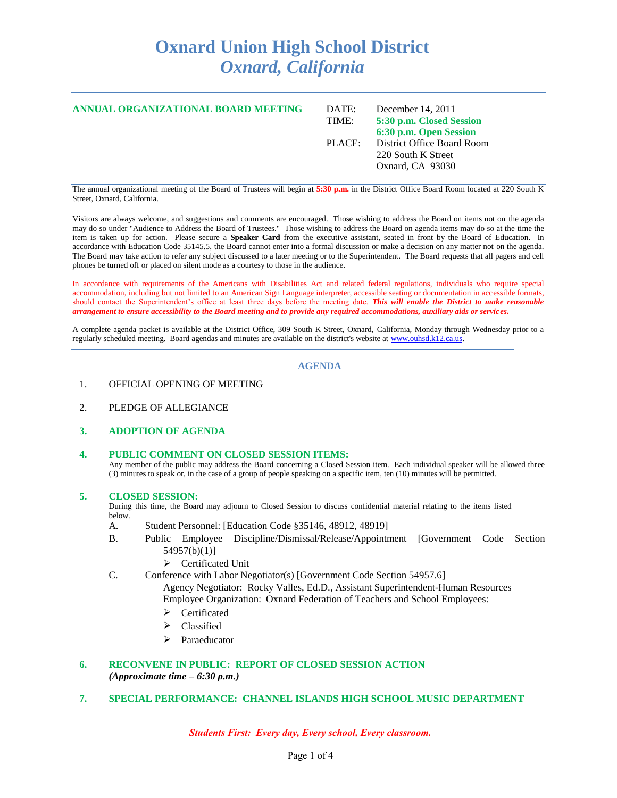## **Oxnard Union High School District** *Oxnard, California*

| ANNUAL ORGANIZATIONAL BOARD MEETING | DATE:  | December 14, $2011$        |
|-------------------------------------|--------|----------------------------|
|                                     | TIME:  | 5:30 p.m. Closed Session   |
|                                     |        | 6:30 p.m. Open Session     |
|                                     | PLACE: | District Office Board Room |
|                                     |        | 220 South K Street         |
|                                     |        | Oxnard, CA 93030           |
|                                     |        |                            |

The annual organizational meeting of the Board of Trustees will begin at **5:30 p.m.** in the District Office Board Room located at 220 South K Street, Oxnard, California.

Visitors are always welcome, and suggestions and comments are encouraged. Those wishing to address the Board on items not on the agenda may do so under "Audience to Address the Board of Trustees." Those wishing to address the Board on agenda items may do so at the time the item is taken up for action. Please secure a **Speaker Card** from the executive assistant, seated in front by the Board of Education. In accordance with Education Code 35145.5, the Board cannot enter into a formal discussion or make a decision on any matter not on the agenda. The Board may take action to refer any subject discussed to a later meeting or to the Superintendent. The Board requests that all pagers and cell phones be turned off or placed on silent mode as a courtesy to those in the audience.

In accordance with requirements of the Americans with Disabilities Act and related federal regulations, individuals who require special accommodation, including but not limited to an American Sign Language interpreter, accessible seating or documentation in accessible formats, should contact the Superintendent's office at least three days before the meeting date. *This will enable the District to make reasonable arrangement to ensure accessibility to the Board meeting and to provide any required accommodations, auxiliary aids or services.*

A complete agenda packet is available at the District Office, 309 South K Street, Oxnard, California, Monday through Wednesday prior to a regularly scheduled meeting. Board agendas and minutes are available on the district's website at [www.ouhsd.k12.ca.us.](http://www.ouhsd.k12.ca.us/)

## **AGENDA**

- 1. OFFICIAL OPENING OF MEETING
- 2. PLEDGE OF ALLEGIANCE
- **3. ADOPTION OF AGENDA**

#### **4. PUBLIC COMMENT ON CLOSED SESSION ITEMS:**

Any member of the public may address the Board concerning a Closed Session item. Each individual speaker will be allowed three (3) minutes to speak or, in the case of a group of people speaking on a specific item, ten (10) minutes will be permitted.

#### **5. CLOSED SESSION:**

During this time, the Board may adjourn to Closed Session to discuss confidential material relating to the items listed below.

- A. Student Personnel: [Education Code §35146, 48912, 48919]
- B. Public Employee Discipline/Dismissal/Release/Appointment [Government Code Section 54957(b)(1)]
	- > Certificated Unit
- C. Conference with Labor Negotiator(s) [Government Code Section 54957.6]
	- Agency Negotiator: Rocky Valles, Ed.D., Assistant Superintendent-Human Resources Employee Organization: Oxnard Federation of Teachers and School Employees:
	- Certificated
	- $\triangleright$  Classified
	- > Paraeducator

## **6. RECONVENE IN PUBLIC: REPORT OF CLOSED SESSION ACTION** *(Approximate time – 6:30 p.m.)*

**7. SPECIAL PERFORMANCE: CHANNEL ISLANDS HIGH SCHOOL MUSIC DEPARTMENT**

*Students First: Every day, Every school, Every classroom.*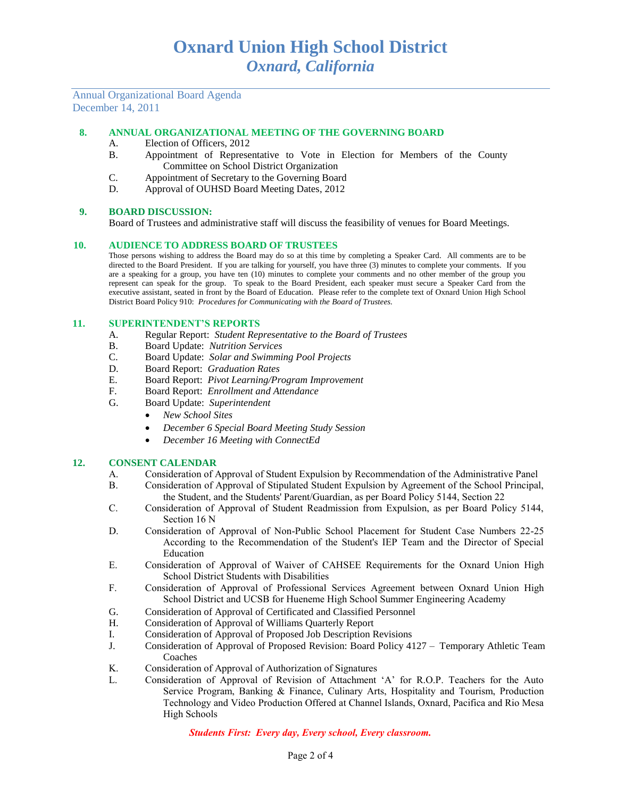Annual Organizational Board Agenda December 14, 2011

## **8. ANNUAL ORGANIZATIONAL MEETING OF THE GOVERNING BOARD**

- A. Election of Officers, 2012
- B. Appointment of Representative to Vote in Election for Members of the County Committee on School District Organization
- C. Appointment of Secretary to the Governing Board
- D. Approval of OUHSD Board Meeting Dates, 2012

#### **9. BOARD DISCUSSION:**

Board of Trustees and administrative staff will discuss the feasibility of venues for Board Meetings.

#### **10. AUDIENCE TO ADDRESS BOARD OF TRUSTEES**

Those persons wishing to address the Board may do so at this time by completing a Speaker Card. All comments are to be directed to the Board President. If you are talking for yourself, you have three (3) minutes to complete your comments. If you are a speaking for a group, you have ten (10) minutes to complete your comments and no other member of the group you represent can speak for the group. To speak to the Board President, each speaker must secure a Speaker Card from the executive assistant, seated in front by the Board of Education. Please refer to the complete text of Oxnard Union High School District Board Policy 910: *Procedures for Communicating with the Board of Trustees.*

#### **11. SUPERINTENDENT'S REPORTS**

- A. Regular Report: *Student Representative to the Board of Trustees*
- B. Board Update: *Nutrition Services*
- C. Board Update: *Solar and Swimming Pool Projects*
- D. Board Report: *Graduation Rates*
- E. Board Report: *Pivot Learning/Program Improvement*
- F. Board Report: *Enrollment and Attendance*
- G. Board Update: *Superintendent*
	- *New School Sites*
	- *December 6 Special Board Meeting Study Session*
	- *December 16 Meeting with ConnectEd*

## **12. CONSENT CALENDAR**

- A. Consideration of Approval of Student Expulsion by Recommendation of the Administrative Panel
- B. Consideration of Approval of Stipulated Student Expulsion by Agreement of the School Principal, the Student, and the Students' Parent/Guardian, as per Board Policy 5144, Section 22
- C. Consideration of Approval of Student Readmission from Expulsion, as per Board Policy 5144, Section 16 N
- D. Consideration of Approval of Non-Public School Placement for Student Case Numbers 22-25 According to the Recommendation of the Student's IEP Team and the Director of Special Education
- E. Consideration of Approval of Waiver of CAHSEE Requirements for the Oxnard Union High School District Students with Disabilities
- F. Consideration of Approval of Professional Services Agreement between Oxnard Union High School District and UCSB for Hueneme High School Summer Engineering Academy
- G. Consideration of Approval of Certificated and Classified Personnel
- H. Consideration of Approval of Williams Quarterly Report
- I. Consideration of Approval of Proposed Job Description Revisions
- J. Consideration of Approval of Proposed Revision: Board Policy 4127 Temporary Athletic Team Coaches
- K. Consideration of Approval of Authorization of Signatures
- L. Consideration of Approval of Revision of Attachment 'A' for R.O.P. Teachers for the Auto Service Program, Banking & Finance, Culinary Arts, Hospitality and Tourism, Production Technology and Video Production Offered at Channel Islands, Oxnard, Pacifica and Rio Mesa High Schools

*Students First: Every day, Every school, Every classroom.*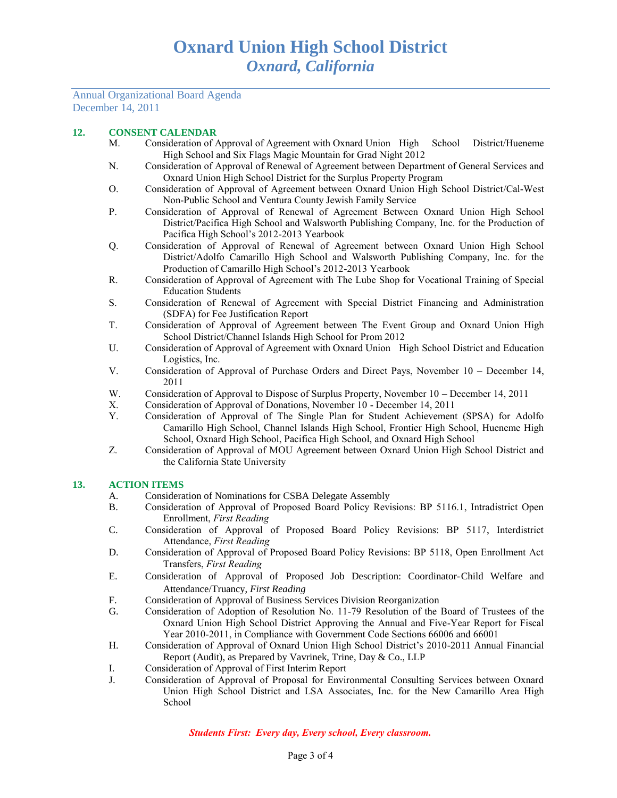### Annual Organizational Board Agenda December 14, 2011

## **12. CONSENT CALENDAR**

- M. Consideration of Approval of Agreement with Oxnard Union High School District/Hueneme High School and Six Flags Magic Mountain for Grad Night 2012
- N. Consideration of Approval of Renewal of Agreement between Department of General Services and Oxnard Union High School District for the Surplus Property Program
- O. Consideration of Approval of Agreement between Oxnard Union High School District/Cal-West Non-Public School and Ventura County Jewish Family Service
- P. Consideration of Approval of Renewal of Agreement Between Oxnard Union High School District/Pacifica High School and Walsworth Publishing Company, Inc. for the Production of Pacifica High School's 2012-2013 Yearbook
- Q. Consideration of Approval of Renewal of Agreement between Oxnard Union High School District/Adolfo Camarillo High School and Walsworth Publishing Company, Inc. for the Production of Camarillo High School's 2012-2013 Yearbook
- R. Consideration of Approval of Agreement with The Lube Shop for Vocational Training of Special Education Students
- S. Consideration of Renewal of Agreement with Special District Financing and Administration (SDFA) for Fee Justification Report
- T. Consideration of Approval of Agreement between The Event Group and Oxnard Union High School District/Channel Islands High School for Prom 2012
- U. Consideration of Approval of Agreement with Oxnard Union High School District and Education Logistics, Inc.
- V. Consideration of Approval of Purchase Orders and Direct Pays, November 10 December 14, 2011
- W. Consideration of Approval to Dispose of Surplus Property, November 10 December 14, 2011
- X. Consideration of Approval of Donations, November 10 December 14, 2011
- Y. Consideration of Approval of The Single Plan for Student Achievement (SPSA) for Adolfo Camarillo High School, Channel Islands High School, Frontier High School, Hueneme High School, Oxnard High School, Pacifica High School, and Oxnard High School
- Z. Consideration of Approval of MOU Agreement between Oxnard Union High School District and the California State University

## **13. ACTION ITEMS**

- A. Consideration of Nominations for CSBA Delegate Assembly
- B. Consideration of Approval of Proposed Board Policy Revisions: BP 5116.1, Intradistrict Open Enrollment, *First Reading*
- C. Consideration of Approval of Proposed Board Policy Revisions: BP 5117, Interdistrict Attendance, *First Reading*
- D. Consideration of Approval of Proposed Board Policy Revisions: BP 5118, Open Enrollment Act Transfers, *First Reading*
- E. Consideration of Approval of Proposed Job Description: Coordinator-Child Welfare and Attendance/Truancy, *First Reading*
- F. Consideration of Approval of Business Services Division Reorganization
- G. Consideration of Adoption of Resolution No. 11-79 Resolution of the Board of Trustees of the Oxnard Union High School District Approving the Annual and Five-Year Report for Fiscal Year 2010-2011, in Compliance with Government Code Sections 66006 and 66001
- H. Consideration of Approval of Oxnard Union High School District's 2010-2011 Annual Financial Report (Audit), as Prepared by Vavrinek, Trine, Day & Co., LLP
- I. Consideration of Approval of First Interim Report
- J. Consideration of Approval of Proposal for Environmental Consulting Services between Oxnard Union High School District and LSA Associates, Inc. for the New Camarillo Area High School

*Students First: Every day, Every school, Every classroom.*